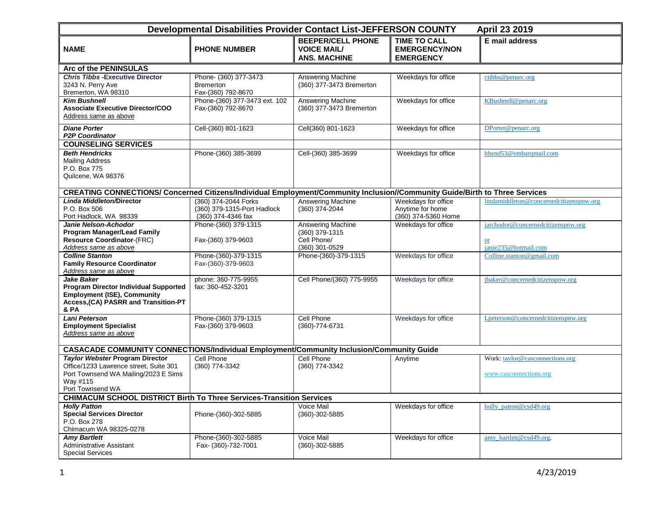| Developmental Disabilities Provider Contact List-JEFFERSON COUNTY<br>April 23 2019                                                               |                                                                           |                                                                       |                                                                 |                                                                             |  |
|--------------------------------------------------------------------------------------------------------------------------------------------------|---------------------------------------------------------------------------|-----------------------------------------------------------------------|-----------------------------------------------------------------|-----------------------------------------------------------------------------|--|
| <b>NAME</b>                                                                                                                                      | <b>PHONE NUMBER</b>                                                       | <b>BEEPER/CELL PHONE</b><br><b>VOICE MAIL/</b><br><b>ANS. MACHINE</b> | <b>TIME TO CALL</b><br><b>EMERGENCY/NON</b><br><b>EMERGENCY</b> | E mail address                                                              |  |
| Arc of the PENINSULAS                                                                                                                            |                                                                           |                                                                       |                                                                 |                                                                             |  |
| <b>Chris Tibbs - Executive Director</b><br>3243 N. Perry Ave<br>Bremerton, WA 98310                                                              | Phone- (360) 377-3473<br><b>Bremerton</b><br>Fax-(360) 792-8670           | Answering Machine<br>(360) 377-3473 Bremerton                         | Weekdays for office                                             | ctibbs@penarc.org                                                           |  |
| <b>Kim Bushnell</b><br><b>Associate Executive Director/COO</b><br>Address same as above                                                          | Phone-(360) 377-3473 ext. 102<br>Fax-(360) 792-8670                       | <b>Answering Machine</b><br>(360) 377-3473 Bremerton                  | Weekdays for office                                             | KBushnell@penarc.org                                                        |  |
| <b>Diane Porter</b><br><b>P2P Coordinator</b>                                                                                                    | Cell-(360) 801-1623                                                       | Cell(360) 801-1623                                                    | Weekdays for office                                             | DPorter@penarc.org                                                          |  |
| <b>COUNSELING SERVICES</b>                                                                                                                       |                                                                           |                                                                       |                                                                 |                                                                             |  |
| <b>Beth Hendricks</b><br><b>Mailing Address</b><br>P.O. Box 775<br>Quilcene, WA 98376                                                            | Phone-(360) 385-3699                                                      | Cell-(360) 385-3699                                                   | Weekdays for office                                             | bhend53@embarqmail.com                                                      |  |
| CREATING CONNECTIONS/ Concerned Citizens/Individual Employment/Community Inclusion//Community Guide/Birth to Three Services                      |                                                                           |                                                                       |                                                                 |                                                                             |  |
| <b>Linda Middleton/Director</b><br>P.O. Box 506<br>Port Hadlock, WA 98339                                                                        | (360) 374-2044 Forks<br>(360) 379-1315-Port Hadlock<br>(360) 374-4346 fax | <b>Answering Machine</b><br>(360) 374-2044                            | Weekdays for office<br>Anytime for home<br>(360) 374-5360 Home  | lindamiddleton@concernedcitizenspnw.org                                     |  |
| Janie Nelson-Achodor<br>Program Manager/Lead Family<br><b>Resource Coordinator-(FRC)</b><br>Address same as above                                | Phone-(360) 379-1315<br>Fax-(360) 379-9603                                | Answering Machine<br>(360) 379-1315<br>Cell Phone/<br>(360) 301-0529  | Weekdays for office                                             | jarchodor@concernedcitizenspnw.org<br><sub>or</sub><br>janie235@hotmail.com |  |
| <b>Colline Stanton</b><br><b>Family Resource Coordinator</b><br>Address same as above                                                            | Phone-(360)-379-1315<br>Fax-(360)-379-9603                                | Phone-(360)-379-1315                                                  | Weekdays for office                                             | Colline.stanton@gmail.com                                                   |  |
| Jake Baker<br><b>Program Director Individual Supported</b><br><b>Employment (ISE), Community</b><br>Access, (CA) PASRR and Transition-PT<br>& PA | phone: 360-775-9955<br>fax: 360-452-3201                                  | Cell Phone/(360) 775-9955                                             | Weekdays for office                                             | jbaker@concernedcitizenspnw.org                                             |  |
| <b>Lani Peterson</b><br><b>Employment Specialist</b><br>Address same as above                                                                    | Phone-(360) 379-1315<br>Fax-(360) 379-9603                                | Cell Phone<br>(360)-774-6731                                          | Weekdays for office                                             | Lpeterson@concernedcitizenspnw.org                                          |  |
| CASACADE COMMUNITY CONNECTIONS/Individual Employment/Community Inclusion/Community Guide                                                         |                                                                           |                                                                       |                                                                 |                                                                             |  |
| <b>Taylor Webster Program Director</b><br>Office/1233 Lawrence street, Suite 301<br>Port Townsend WA Mailing/2023 E Sims<br>Way #115             | Cell Phone<br>(360) 774-3342                                              | Cell Phone<br>(360) 774-3342                                          | Anytime                                                         | Work: taylor@casconnections.org<br>www.casconnections.org                   |  |
| Port Townsend WA<br><b>CHIMACUM SCHOOL DISTRICT Birth To Three Services-Transition Services</b>                                                  |                                                                           |                                                                       |                                                                 |                                                                             |  |
| <b>Holly Patton</b><br><b>Special Services Director</b><br>P.O. Box 278<br>Chimacum WA 98325-0278                                                | Phone-(360)-302-5885                                                      | Voice Mail<br>(360)-302-5885                                          | Weekdays for office                                             | holly_patton@csd49.org                                                      |  |
| <b>Amy Bartlett</b><br>Administrative Assistant<br><b>Special Services</b>                                                                       | Phone-(360)-302-5885<br>Fax- (360)-732-7001                               | Voice Mail<br>(360)-302-5885                                          | Weekdays for office                                             | amy bartlett@csd49.org.                                                     |  |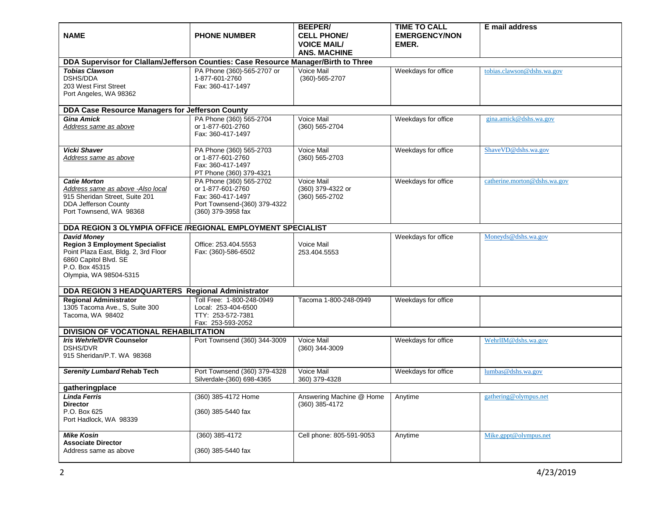| <b>NAME</b>                                                                                                                                                              | <b>PHONE NUMBER</b>                                                                                                     | <b>BEEPER/</b><br><b>CELL PHONE/</b><br><b>VOICE MAIL/</b><br><b>ANS. MACHINE</b> | <b>TIME TO CALL</b><br><b>EMERGENCY/NON</b><br>EMER. | E mail address               |  |
|--------------------------------------------------------------------------------------------------------------------------------------------------------------------------|-------------------------------------------------------------------------------------------------------------------------|-----------------------------------------------------------------------------------|------------------------------------------------------|------------------------------|--|
| DDA Supervisor for Clallam/Jefferson Counties: Case Resource Manager/Birth to Three                                                                                      |                                                                                                                         |                                                                                   |                                                      |                              |  |
| <b>Tobias Clawson</b><br>DSHS/DDA<br>203 West First Street<br>Port Angeles, WA 98362                                                                                     | PA Phone (360)-565-2707 or<br>1-877-601-2760<br>Fax: 360-417-1497                                                       | Voice Mail<br>(360)-565-2707                                                      | Weekdays for office                                  | tobias.clawson@dshs.wa.gov   |  |
| DDA Case Resource Managers for Jefferson County                                                                                                                          |                                                                                                                         |                                                                                   |                                                      |                              |  |
| <b>Gina Amick</b><br>Address same as above                                                                                                                               | PA Phone (360) 565-2704<br>or 1-877-601-2760<br>Fax: 360-417-1497                                                       | Voice Mail<br>(360) 565-2704                                                      | Weekdays for office                                  | gina.amick@dshs.wa.gov       |  |
| Vicki Shaver<br>Address same as above                                                                                                                                    | PA Phone (360) 565-2703<br>or 1-877-601-2760<br>Fax: 360-417-1497<br>PT Phone (360) 379-4321                            | Voice Mail<br>(360) 565-2703                                                      | Weekdays for office                                  | ShaveVD@dshs.wa.gov          |  |
| <b>Catie Morton</b><br>Address same as above -Also local<br>915 Sheridan Street, Suite 201<br>DDA Jefferson County<br>Port Townsend, WA 98368                            | PA Phone (360) 565-2702<br>or 1-877-601-2760<br>Fax: 360-417-1497<br>Port Townsend-(360) 379-4322<br>(360) 379-3958 fax | Voice Mail<br>(360) 379-4322 or<br>(360) 565-2702                                 | Weekdays for office                                  | catherine.morton@dshs.wa.gov |  |
| DDA REGION 3 OLYMPIA OFFICE /REGIONAL EMPLOYMENT SPECIALIST                                                                                                              |                                                                                                                         |                                                                                   |                                                      |                              |  |
| <b>David Money</b><br><b>Region 3 Employment Specialist</b><br>Point Plaza East, Bldg. 2, 3rd Floor<br>6860 Capitol Blvd. SE<br>P.O. Box 45315<br>Olympia, WA 98504-5315 | Office: 253.404.5553<br>Fax: (360)-586-6502                                                                             | Voice Mail<br>253.404.5553                                                        | Weekdays for office                                  | Moneyds@dshs.wa.gov          |  |
| DDA REGION 3 HEADQUARTERS Regional Administrator                                                                                                                         |                                                                                                                         |                                                                                   |                                                      |                              |  |
| <b>Regional Administrator</b><br>1305 Tacoma Ave., S, Suite 300<br>Tacoma, WA 98402                                                                                      | Toll Free: 1-800-248-0949<br>Local: 253-404-6500<br>TTY: 253-572-7381<br>Fax: 253-593-2052                              | Tacoma 1-800-248-0949                                                             | Weekdays for office                                  |                              |  |
| DIVISION OF VOCATIONAL REHABILITATION                                                                                                                                    |                                                                                                                         |                                                                                   |                                                      |                              |  |
| Iris Wehrle/DVR Counselor<br><b>DSHS/DVR</b><br>915 Sheridan/P.T. WA 98368                                                                                               | Port Townsend (360) 344-3009                                                                                            | Voice Mail<br>(360) 344-3009                                                      | Weekdays for office                                  | WehrlIM@dshs.wa.gov          |  |
| Serenity Lumbard Rehab Tech                                                                                                                                              | Port Townsend (360) 379-4328<br>Silverdale-(360) 698-4365                                                               | Voice Mail<br>360) 379-4328                                                       | Weekdays for office                                  | lumbas@dshs.wa.gov           |  |
| gatheringplace                                                                                                                                                           |                                                                                                                         |                                                                                   |                                                      |                              |  |
| <b>Linda Ferris</b><br><b>Director</b><br>P.O. Box 625<br>Port Hadlock, WA 98339                                                                                         | (360) 385-4172 Home<br>(360) 385-5440 fax                                                                               | Answering Machine @ Home<br>(360) 385-4172                                        | Anytime                                              | gathering@olympus.net        |  |
| <b>Mike Kosin</b><br><b>Associate Director</b><br>Address same as above                                                                                                  | (360) 385-4172<br>(360) 385-5440 fax                                                                                    | Cell phone: 805-591-9053                                                          | Anytime                                              | Mike.gppt@olympus.net        |  |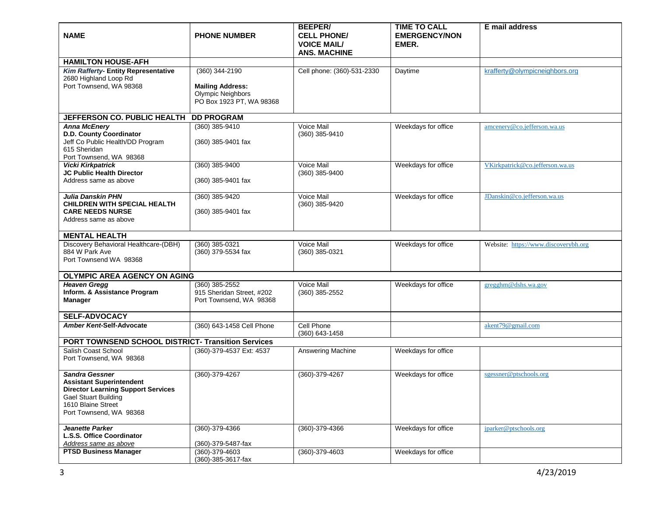| <b>NAME</b>                                                                                                                                                                    | <b>PHONE NUMBER</b>                                                                               | <b>BEEPER/</b><br><b>CELL PHONE/</b><br><b>VOICE MAIL/</b><br><b>ANS. MACHINE</b> | <b>TIME TO CALL</b><br><b>EMERGENCY/NON</b><br>EMER. | E mail address                       |  |
|--------------------------------------------------------------------------------------------------------------------------------------------------------------------------------|---------------------------------------------------------------------------------------------------|-----------------------------------------------------------------------------------|------------------------------------------------------|--------------------------------------|--|
| <b>HAMILTON HOUSE-AFH</b>                                                                                                                                                      |                                                                                                   |                                                                                   |                                                      |                                      |  |
| Kim Rafferty- Entity Representative<br>2680 Highland Loop Rd<br>Port Townsend, WA 98368                                                                                        | (360) 344-2190<br><b>Mailing Address:</b><br><b>Olympic Neighbors</b><br>PO Box 1923 PT, WA 98368 | Cell phone: (360)-531-2330                                                        | Daytime                                              | krafferty@olympicneighbors.org       |  |
| JEFFERSON CO. PUBLIC HEALTH                                                                                                                                                    | <b>DD PROGRAM</b>                                                                                 |                                                                                   |                                                      |                                      |  |
| <b>Anna McEnery</b><br>D.D. County Coordinator<br>Jeff Co Public Health/DD Program<br>615 Sheridan<br>Port Townsend, WA 98368                                                  | (360) 385-9410<br>(360) 385-9401 fax                                                              | Voice Mail<br>(360) 385-9410                                                      | Weekdays for office                                  | amcenery@co.jefferson.wa.us          |  |
| <b>Vicki Kirkpatrick</b><br>JC Public Health Director<br>Address same as above                                                                                                 | (360) 385-9400<br>(360) 385-9401 fax                                                              | Voice Mail<br>(360) 385-9400                                                      | Weekdays for office                                  | VKirkpatrick@co.jefferson.wa.us      |  |
| <b>Julia Danskin PHN</b><br><b>CHILDREN WITH SPECIAL HEALTH</b><br><b>CARE NEEDS NURSE</b><br>Address same as above                                                            | (360) 385-9420<br>(360) 385-9401 fax                                                              | Voice Mail<br>(360) 385-9420                                                      | Weekdays for office                                  | JDanskin@co.jefferson.wa.us          |  |
| <b>MENTAL HEALTH</b>                                                                                                                                                           |                                                                                                   |                                                                                   |                                                      |                                      |  |
| Discovery Behavioral Healthcare-(DBH)<br>884 W Park Ave<br>Port Townsend WA 98368                                                                                              | (360) 385-0321<br>(360) 379-5534 fax                                                              | Voice Mail<br>(360) 385-0321                                                      | Weekdays for office                                  | Website: https://www.discoverybh.org |  |
| OLYMPIC AREA AGENCY ON AGING                                                                                                                                                   |                                                                                                   |                                                                                   |                                                      |                                      |  |
| <b>Heaven Gregg</b><br>Inform. & Assistance Program<br><b>Manager</b>                                                                                                          | (360) 385-2552<br>915 Sheridan Street, #202<br>Port Townsend, WA 98368                            | Voice Mail<br>$(360)$ 385-2552                                                    | Weekdays for office                                  | gregghm@dshs.wa.gov                  |  |
| <b>SELF-ADVOCACY</b>                                                                                                                                                           |                                                                                                   |                                                                                   |                                                      |                                      |  |
| Amber Kent-Self-Advocate                                                                                                                                                       | (360) 643-1458 Cell Phone                                                                         | Cell Phone<br>(360) 643-1458                                                      |                                                      | akent79@gmail.com                    |  |
| PORT TOWNSEND SCHOOL DISTRICT- Transition Services                                                                                                                             |                                                                                                   |                                                                                   |                                                      |                                      |  |
| Salish Coast School<br>Port Townsend, WA 98368                                                                                                                                 | (360)-379-4537 Ext: 4537                                                                          | Answering Machine                                                                 | Weekdays for office                                  |                                      |  |
| <b>Sandra Gessner</b><br><b>Assistant Superintendent</b><br><b>Director Learning Support Services</b><br>Gael Stuart Building<br>1610 Blaine Street<br>Port Townsend, WA 98368 | (360)-379-4267                                                                                    | (360)-379-4267                                                                    | Weekdays for office                                  | sgessner@ptschools.org               |  |
| <b>Jeanette Parker</b><br>L.S.S. Office Coordinator<br>Address same as above                                                                                                   | (360)-379-4366<br>(360)-379-5487-fax                                                              | (360)-379-4366                                                                    | Weekdays for office                                  | jparker@ptschools.org                |  |
| <b>PTSD Business Manager</b>                                                                                                                                                   | $(360) - 379 - 4603$<br>(360)-385-3617-fax                                                        | (360)-379-4603                                                                    | Weekdays for office                                  |                                      |  |